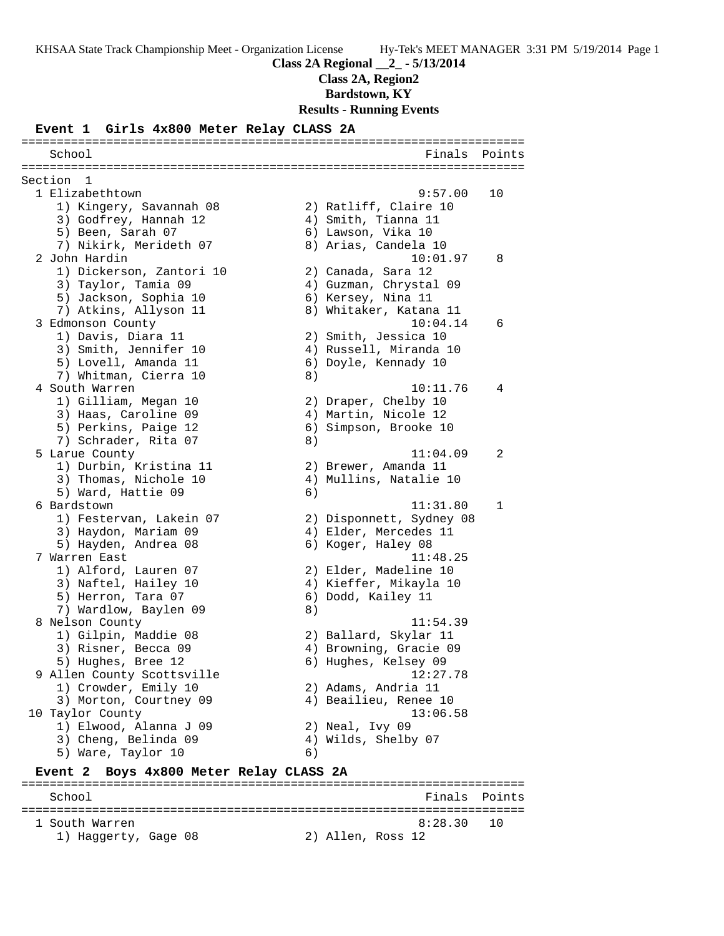**Class 2A, Region2**

**Bardstown, KY**

**Results - Running Events**

#### **Event 1 Girls 4x800 Meter Relay CLASS 2A**

======================================================================= School **Finals** Points **Points** ======================================================================= Section 1 1 Elizabethtown 9:57.00 10 1) Kingery, Savannah 08 2) Ratliff, Claire 10 3) Godfrey, Hannah 12  $\hskip1cm$  4) Smith, Tianna 11 5) Been, Sarah 07 (6) Lawson, Vika 10 7) Nikirk, Merideth 07 8) Arias, Candela 10 2 John Hardin 10:01.97 8 1) Dickerson, Zantori 10 2) Canada, Sara 12 3) Taylor, Tamia 09 4) Guzman, Chrystal 09 5) Jackson, Sophia 10 6) Kersey, Nina 11 7) Atkins, Allyson 11 8) Whitaker, Katana 11 3 Edmonson County 10:04.14 6 1) Davis, Diara 11 2) Smith, Jessica 10 3) Smith, Jennifer 10 4) Russell, Miranda 10 5) Lovell, Amanda 11 6) Doyle, Kennady 10 7) Whitman, Cierra 10 (8) 4 South Warren 10:11.76 4 1) Gilliam, Megan 10 2) Draper, Chelby 10 3) Haas, Caroline 09 (4) Martin, Nicole 12 5) Perkins, Paige 12 6) Simpson, Brooke 10 7) Schrader, Rita 07 (8) 5 Larue County 11:04.09 2 1) Durbin, Kristina 11  $\qquad \qquad$  2) Brewer, Amanda 11 3) Thomas, Nichole 10 4) Mullins, Natalie 10 5) Ward, Hattie 09 (6) 6 Bardstown 11:31.80 1 1) Festervan, Lakein 07 2) Disponnett, Sydney 08 3) Haydon, Mariam 09 4) Elder, Mercedes 11 5) Hayden, Andrea 08 6) Koger, Haley 08 7 Warren East 11:48.25 1) Alford, Lauren 07 2) Elder, Madeline 10 3) Naftel, Hailey 10 4) Kieffer, Mikayla 10 5) Herron, Tara 07 (6) Dodd, Kailey 11 7) Wardlow, Baylen 09 8) 8 Nelson County 11:54.39 1) Gilpin, Maddie 08 2) Ballard, Skylar 11 3) Risner, Becca 09 4) Browning, Gracie 09 5) Hughes, Bree 12 (6) Hughes, Kelsey 09 9 Allen County Scottsville 12:27.78 1) Crowder, Emily 10 2) Adams, Andria 11 3) Morton, Courtney 09 4) Beailieu, Renee 10 10 Taylor County 13:06.58 1) Elwood, Alanna J 09 2) Neal, Ivy 09 3) Cheng, Belinda 09 4) Wilds, Shelby 07 5) Ware, Taylor 10 (6) **Event 2 Boys 4x800 Meter Relay CLASS 2A** =======================================================================

School **Finals** Points ======================================================================= 1 South Warren 8:28.30 10 1) Haggerty, Gage 08 2) Allen, Ross 12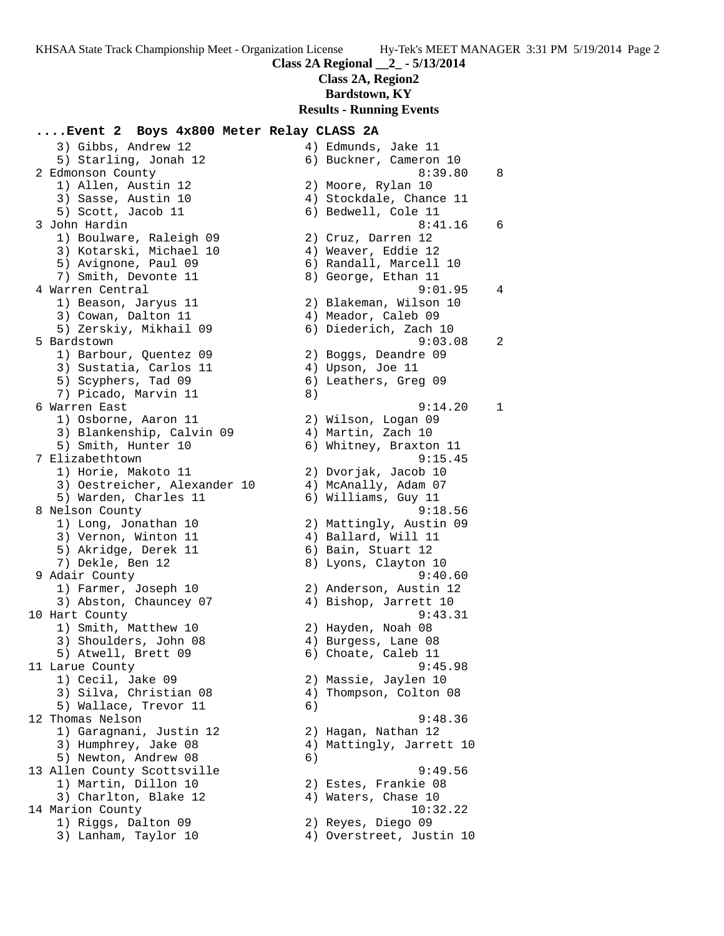**Class 2A, Region2**

**Bardstown, KY**

#### **Results - Running Events**

### **....Event 2 Boys 4x800 Meter Relay CLASS 2A**

 3) Gibbs, Andrew 12 4) Edmunds, Jake 11 5) Starling, Jonah 12 6) Buckner, Cameron 10 2 Edmonson County 8:39.80 8 1) Allen, Austin 12 2) Moore, Rylan 10 3) Sasse, Austin 10 4) Stockdale, Chance 11 5) Scott, Jacob 11 6) Bedwell, Cole 11 3 John Hardin 8:41.16 6 1) Boulware, Raleigh 09 2) Cruz, Darren 12 3) Kotarski, Michael 10 4) Weaver, Eddie 12 5) Avignone, Paul 09 6) Randall, Marcell 10 7) Smith, Devonte 11 and 8) George, Ethan 11 4 Warren Central 9:01.95 4 1) Beason, Jaryus 11 2) Blakeman, Wilson 10 3) Cowan, Dalton 11 (4) Meador, Caleb 09 5) Zerskiy, Mikhail 09 6) Diederich, Zach 10 5 Bardstown 9:03.08 2 1) Barbour, Quentez 09 2) Boggs, Deandre 09 3) Sustatia, Carlos 11 (4) Upson, Joe 11 5) Scyphers, Tad 09 6) Leathers, Greg 09 7) Picado, Marvin 11 and 8) 6 Warren East 9:14.20 1 1) Osborne, Aaron 11 2) Wilson, Logan 09 3) Blankenship, Calvin 09  $\hskip1cm$  4) Martin, Zach 10 5) Smith, Hunter 10 6) Whitney, Braxton 11 7 Elizabethtown 9:15.45 1) Horie, Makoto 11 2) Dvorjak, Jacob 10 3) Oestreicher, Alexander 10 <a>
4) McAnally, Adam<br/> 07 5) Warden, Charles 11 6) Williams, Guy 11 8 Nelson County 6:18.56 1) Long, Jonathan 10 2) Mattingly, Austin 09 3) Vernon, Winton 11 4) Ballard, Will 11 5) Akridge, Derek 11 (6) Bain, Stuart 12 7) Dekle, Ben 12 8) Lyons, Clayton 10 9 Adair County 9:40.60 1) Farmer, Joseph 10 2) Anderson, Austin 12 3) Abston, Chauncey 07 (4) Bishop, Jarrett 10 10 Hart County 9:43.31 1) Smith, Matthew 10 2) Hayden, Noah 08 3) Shoulders, John 08 4) Burgess, Lane 08 5) Atwell, Brett 09 6) Choate, Caleb 11 11 Larue County 9:45.98 1) Cecil, Jake 09 2) Massie, Jaylen 10 3) Silva, Christian 08 4) Thompson, Colton 08 5) Wallace, Trevor 11 6) 12 Thomas Nelson 9:48.36 1) Garagnani, Justin 12 2) Hagan, Nathan 12 3) Humphrey, Jake 08 4) Mattingly, Jarrett 10 5) Newton, Andrew 08 6) 13 Allen County Scottsville 9:49.56 1) Martin, Dillon 10 2) Estes, Frankie 08 3) Charlton, Blake 12 (4) Waters, Chase 10 14 Marion County 10:32.22 1) Riggs, Dalton 09 2) Reyes, Diego 09 3) Lanham, Taylor 10 4) Overstreet, Justin 10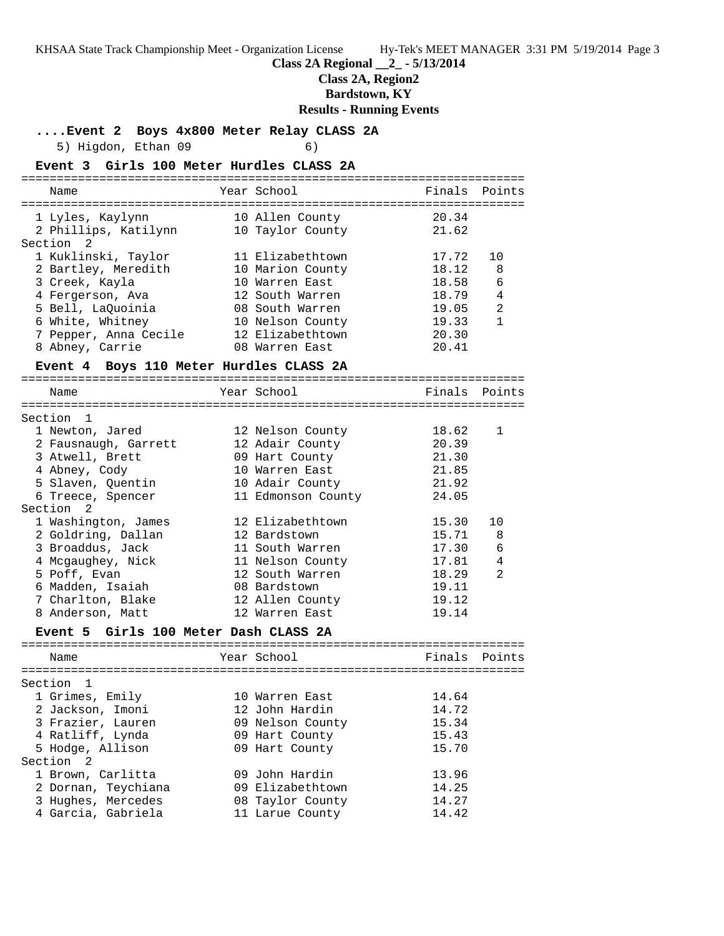**Class 2A Regional \_\_2\_ - 5/13/2014**

**Class 2A, Region2**

**Bardstown, KY**

### **Results - Running Events**

**....Event 2 Boys 4x800 Meter Relay CLASS 2A**

5) Higdon, Ethan 09 6)

| Event 3 Girls 100 Meter Hurdles CLASS 2A  |                                     |        |                |
|-------------------------------------------|-------------------------------------|--------|----------------|
| Name                                      | Year School                         | Finals | Points         |
|                                           |                                     | 20.34  |                |
| 1 Lyles, Kaylynn<br>2 Phillips, Katilynn  | 10 Allen County<br>10 Taylor County | 21.62  |                |
| Section <sub>2</sub>                      |                                     |        |                |
| 1 Kuklinski, Taylor                       | 11 Elizabethtown                    | 17.72  | 10             |
| 2 Bartley, Meredith                       | 10 Marion County                    | 18.12  | 8              |
| 3 Creek, Kayla                            | 10 Warren East                      | 18.58  | 6              |
| 4 Fergerson, Ava                          | 12 South Warren                     | 18.79  | $\sqrt{4}$     |
| 5 Bell, LaQuoinia                         | 08 South Warren                     | 19.05  | $\overline{2}$ |
| 6 White, Whitney                          | 10 Nelson County                    | 19.33  | $\mathbf{1}$   |
| 7 Pepper, Anna Cecile                     | 12 Elizabethtown                    | 20.30  |                |
| 8 Abney, Carrie                           | 08 Warren East                      | 20.41  |                |
| Event 4 Boys 110 Meter Hurdles CLASS 2A   |                                     |        |                |
|                                           |                                     |        |                |
| Name                                      | Year School                         |        | Finals Points  |
|                                           |                                     |        |                |
| Section 1                                 |                                     |        |                |
| 1 Newton, Jared                           | 12 Nelson County                    | 18.62  | 1              |
| 2 Fausnaugh, Garrett                      | 12 Adair County                     | 20.39  |                |
| 3 Atwell, Brett                           | 09 Hart County                      | 21.30  |                |
| 4 Abney, Cody                             | 10 Warren East                      | 21.85  |                |
| 5 Slaven, Quentin                         | 10 Adair County                     | 21.92  |                |
| 6 Treece, Spencer<br>Section <sub>2</sub> | 11 Edmonson County                  | 24.05  |                |
|                                           | 12 Elizabethtown                    | 15.30  | 10             |
| 1 Washington, James<br>2 Goldring, Dallan | 12 Bardstown                        | 15.71  | 8              |
| 3 Broaddus, Jack                          | 11 South Warren                     | 17.30  | 6              |
| 4 Mcgaughey, Nick                         | 11 Nelson County                    | 17.81  | 4              |
| 5 Poff, Evan                              | 12 South Warren                     | 18.29  | $\overline{2}$ |
| 6 Madden, Isaiah                          | 08 Bardstown                        | 19.11  |                |
| 7 Charlton, Blake                         | 12 Allen County                     | 19.12  |                |
| 8 Anderson, Matt                          | 12 Warren East                      | 19.14  |                |

### **Event 5 Girls 100 Meter Dash CLASS 2A**

| Name                | Year School      | Finals | Points |
|---------------------|------------------|--------|--------|
|                     |                  |        |        |
| Section 1           |                  |        |        |
| 1 Grimes, Emily     | 10 Warren East   | 14.64  |        |
| 2 Jackson, Imoni    | 12 John Hardin   | 14.72  |        |
| 3 Frazier, Lauren   | 09 Nelson County | 15.34  |        |
| 4 Ratliff, Lynda    | 09 Hart County   | 15.43  |        |
| 5 Hodge, Allison    | 09 Hart County   | 15.70  |        |
| Section 2           |                  |        |        |
| 1 Brown, Carlitta   | 09 John Hardin   | 13.96  |        |
| 2 Dornan, Teychiana | 09 Elizabethtown | 14.25  |        |
| 3 Hughes, Mercedes  | 08 Taylor County | 14.27  |        |
| 4 Garcia, Gabriela  | 11 Larue County  | 14.42  |        |
|                     |                  |        |        |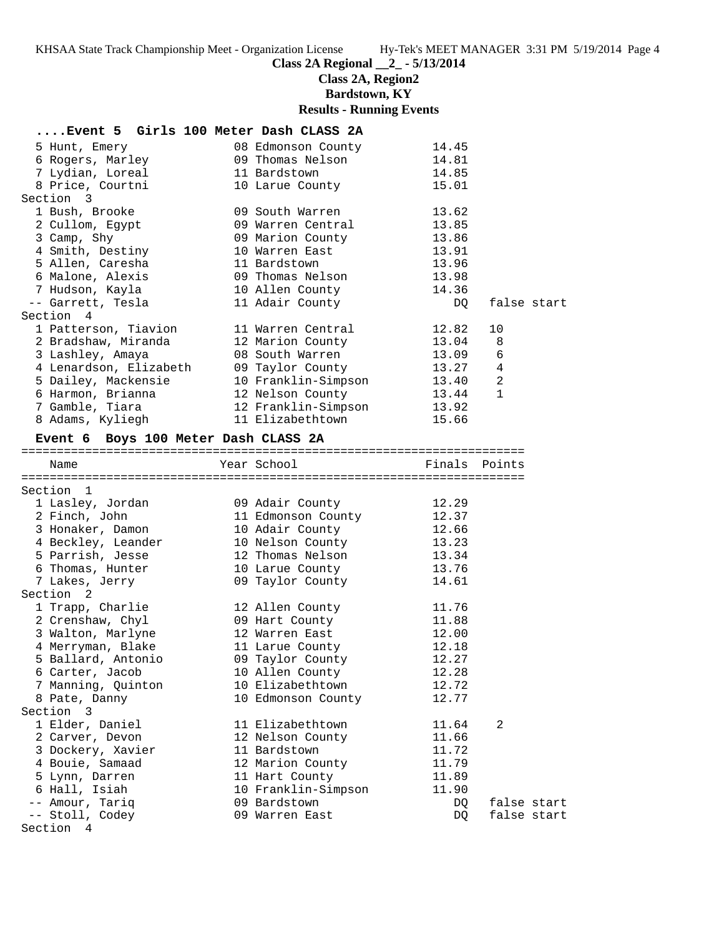**Class 2A Regional \_\_2\_ - 5/13/2014**

**Class 2A, Region2**

**Bardstown, KY**

# **Results - Running Events**

| Event 5 Girls 100 Meter Dash CLASS 2A   |                     |                |             |
|-----------------------------------------|---------------------|----------------|-------------|
| 5 Hunt, Emery                           | 08 Edmonson County  | 14.45          |             |
| 6 Rogers, Marley                        | 09 Thomas Nelson    | 14.81          |             |
| 7 Lydian, Loreal                        | 11 Bardstown        | 14.85          |             |
| 8 Price, Courtni                        | 10 Larue County     | 15.01          |             |
| Section 3                               |                     |                |             |
| 1 Bush, Brooke                          | 09 South Warren     | 13.62          |             |
| 2 Cullom, Egypt                         | 09 Warren Central   | 13.85          |             |
| 3 Camp, Shy                             | 09 Marion County    | 13.86          |             |
| 4 Smith, Destiny                        | 10 Warren East      | 13.91          |             |
| 5 Allen, Caresha                        | 11 Bardstown        | 13.96          |             |
| 6 Malone, Alexis                        | 09 Thomas Nelson    | 13.98          |             |
| 7 Hudson, Kayla                         | 10 Allen County     | 14.36          |             |
| -- Garrett, Tesla                       | 11 Adair County     | DQ             | false start |
| Section 4                               |                     |                |             |
| 1 Patterson, Tiavion                    | 11 Warren Central   | 12.82          | 10          |
| 2 Bradshaw, Miranda                     | 12 Marion County    | 13.04          | 8           |
| 3 Lashley, Amaya                        | 08 South Warren     | 13.09          | 6           |
| 4 Lenardson, Elizabeth 09 Taylor County |                     | 13.27          | 4           |
| 5 Dailey, Mackensie                     | 10 Franklin-Simpson |                | $\sqrt{2}$  |
| 6 Harmon, Brianna                       | 12 Nelson County    | 13.40<br>13.44 | $\mathbf 1$ |
| 7 Gamble, Tiara                         | 12 Franklin-Simpson | 13.92          |             |
| 8 Adams, Kyliegh                        | 11 Elizabethtown    | 15.66          |             |
|                                         |                     |                |             |
| Event 6 Boys 100 Meter Dash CLASS 2A    |                     |                |             |
|                                         |                     |                |             |
| Name                                    | Year School         | Finals Points  |             |
|                                         |                     |                |             |
|                                         |                     |                |             |
| Section 1                               |                     |                |             |
| 1 Lasley, Jordan                        | 09 Adair County     | 12.29          |             |
| 2 Finch, John                           | 11 Edmonson County  | 12.37          |             |
| 3 Honaker, Damon                        | 10 Adair County     | 12.66          |             |
| 4 Beckley, Leander                      | 10 Nelson County    | 13.23          |             |
| 5 Parrish, Jesse                        | 12 Thomas Nelson    | 13.34          |             |
| 6 Thomas, Hunter                        | 10 Larue County     | 13.76          |             |
| 7 Lakes, Jerry                          | 09 Taylor County    | 14.61          |             |
| Section <sub>2</sub>                    |                     |                |             |
| 1 Trapp, Charlie                        | 12 Allen County     | 11.76          |             |
| 2 Crenshaw, Chyl                        | 09 Hart County      | 11.88          |             |
| 3 Walton, Marlyne                       | 12 Warren East      | 12.00          |             |
| 4 Merryman, Blake                       | 11 Larue County     | 12.18          |             |
| 5 Ballard, Antonio                      | 09 Taylor County    | 12.27          |             |
| 6 Carter, Jacob                         | 10 Allen County     | 12.28          |             |
| 7 Manning, Quinton                      | 10 Elizabethtown    | 12.72          |             |
| 8 Pate, Danny                           | 10 Edmonson County  | 12.77          |             |
| Section 3                               |                     |                |             |
| 1 Elder, Daniel                         | 11 Elizabethtown    | 11.64          | 2           |
| 2 Carver, Devon                         | 12 Nelson County    | 11.66          |             |
| 3 Dockery, Xavier                       | 11 Bardstown        | 11.72          |             |
| 4 Bouie, Samaad                         | 12 Marion County    | 11.79          |             |
| 5 Lynn, Darren                          | 11 Hart County      | 11.89          |             |
| 6 Hall, Isiah                           | 10 Franklin-Simpson | 11.90          |             |
| -- Amour, Tariq                         | 09 Bardstown        | DQ.            | false start |
| -- Stoll, Codey                         | 09 Warren East      | DQ             | false start |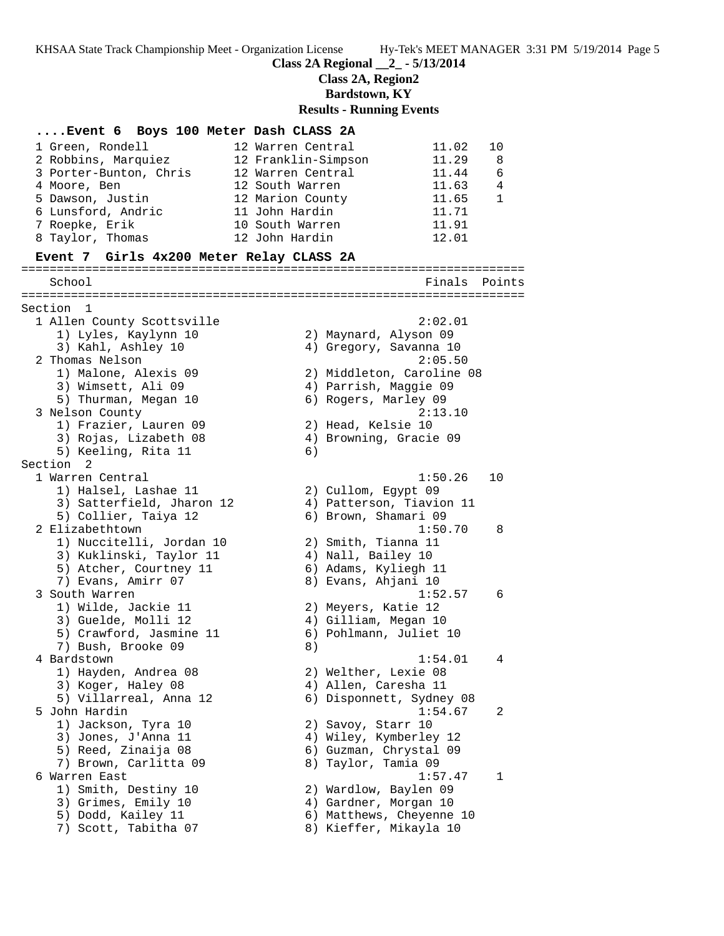**Class 2A Regional \_\_2\_ - 5/13/2014**

**Class 2A, Region2**

**Bardstown, KY**

#### **Results - Running Events**

**....Event 6 Boys 100 Meter Dash CLASS 2A** 1 Green, Rondell 12 Warren Central 11.02 10 2 Robbins, Marquiez 12 Franklin-Simpson 11.29 8 3 Porter-Bunton, Chris 12 Warren Central 11.44 6 4 Moore, Ben 12 South Warren 11.63 4 5 Dawson, Justin 12 Marion County 11.65 1 6 Lunsford, Andric 11 John Hardin 11.71 7 Roepke, Erik 10 South Warren 11.91 8 Taylor, Thomas 12 John Hardin 12.01 **Event 7 Girls 4x200 Meter Relay CLASS 2A** ======================================================================= School Finals Points ======================================================================= Section 1 1 Allen County Scottsville 2:02.01 1) Lyles, Kaylynn 10 2) Maynard, Alyson 09 3) Kahl, Ashley 10 4) Gregory, Savanna 10 2 Thomas Nelson 2:05.50 1) Malone, Alexis 09 2) Middleton, Caroline 08 3) Wimsett, Ali 09 4) Parrish, Maggie 09 5) Thurman, Megan 10 6) Rogers, Marley 09 3 Nelson County 2:13.10 1) Frazier, Lauren 09 2) Head, Kelsie 10 3) Rojas, Lizabeth 08 4) Browning, Gracie 09 5) Keeling, Rita 11 6) Section 2 1 Warren Central 1:50.26 10 1) Halsel, Lashae 11 2) Cullom, Egypt 09 3) Satterfield, Jharon 12 4) Patterson, Tiavion 11 5) Collier, Taiya 12 6) Brown, Shamari 09 2 Elizabethtown 1:50.70 8 1) Nuccitelli, Jordan 10 2) Smith, Tianna 11 3) Kuklinski, Taylor 11  $\hskip10mm 4$ ) Nall, Bailey 10 5) Atcher, Courtney 11 (6) Adams, Kyliegh 11 7) Evans, Amirr 07 8) Evans, Ahjani 10 3 South Warren 1:52.57 6 1) Wilde, Jackie 11 2) Meyers, Katie 12 3) Guelde, Molli 12 (4) Gilliam, Megan 10 5) Crawford, Jasmine 11 6) Pohlmann, Juliet 10 7) Bush, Brooke 09 8) 4 Bardstown 1:54.01 4 1) Hayden, Andrea 08 2) Welther, Lexie 08 3) Koger, Haley 08 (4) Allen, Caresha 11 5) Villarreal, Anna 12 6) Disponnett, Sydney 08 5 John Hardin 1:54.67 2 1) Jackson, Tyra 10  $\hskip1cm 2)$  Savoy, Starr 10 3) Jones, J'Anna 11 4) Wiley, Kymberley 12 5) Reed, Zinaija 08 6) Guzman, Chrystal 09 7) Brown, Carlitta 09 8) Taylor, Tamia 09 6 Warren East 1:57.47 1 1) Smith, Destiny 10 2) Wardlow, Baylen 09 3) Grimes, Emily 10 4) Gardner, Morgan 10 5) Dodd, Kailey 11 6) Matthews, Cheyenne 10 7) Scott, Tabitha 07 8) Kieffer, Mikayla 10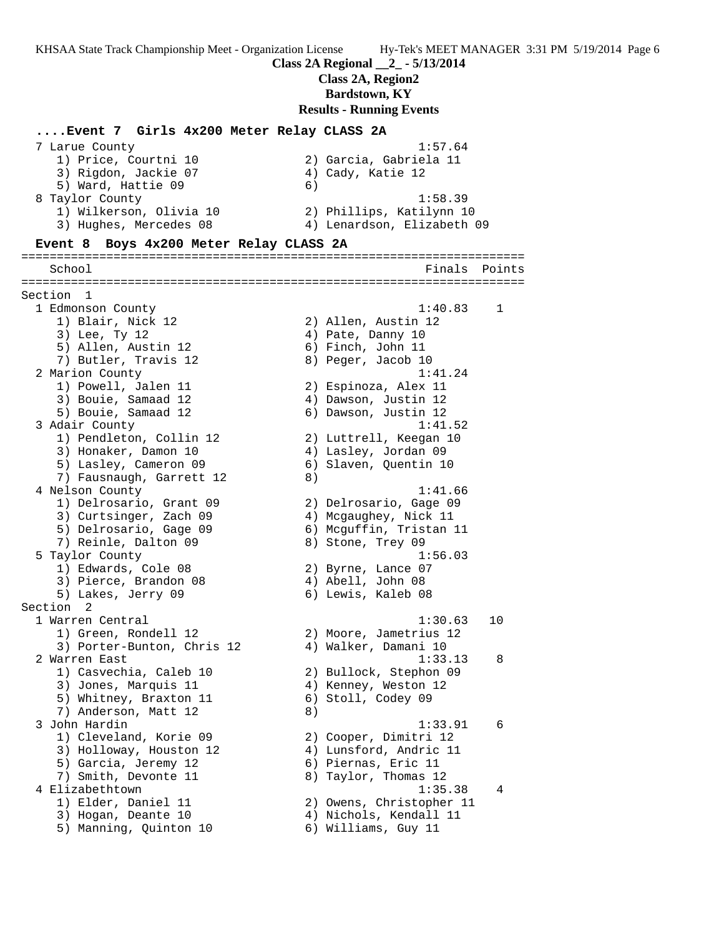#### **Class 2A Regional \_\_2\_ - 5/13/2014**

**Class 2A, Region2**

**Bardstown, KY**

#### **Results - Running Events**

#### **....Event 7 Girls 4x200 Meter Relay CLASS 2A**

| 7 Larue County          | 1:57.64                    |
|-------------------------|----------------------------|
| 1) Price, Courtni 10    | 2) Garcia, Gabriela 11     |
| 3) Rigdon, Jackie 07    | 4) Cady, Katie 12          |
| 5) Ward, Hattie 09      | 6)                         |
| 8 Taylor County         | 1:58.39                    |
| 1) Wilkerson, Olivia 10 | 2) Phillips, Katilynn 10   |
| 3) Hughes, Mercedes 08  | 4) Lenardson, Elizabeth 09 |

#### **Event 8 Boys 4x200 Meter Relay CLASS 2A**

======================================================================= Finals Points ======================================================================= Section 1 1 Edmonson County 1:40.83 1 1) Blair, Nick 12 2) Allen, Austin 12 3) Lee, Ty 12 (2008) 4) Pate, Danny 10 5) Allen, Austin 12 (6) Finch, John 11 7) Butler, Travis 12 (8) Peger, Jacob 10 2 Marion County 2 Marion 2 Marion 2 Marion 2 Marion 2 Marion 2 Marion 2 Marion 2 Marion 2 Marion 2 Marion 2 Ma 1) Powell, Jalen 11 2) Espinoza, Alex 11 3) Bouie, Samaad 12 4) Dawson, Justin 12 5) Bouie, Samaad 12 (6) Dawson, Justin 12 3 Adair County 1:41.52 1) Pendleton, Collin 12 2) Luttrell, Keegan 10 3) Honaker, Damon 10 4) Lasley, Jordan 09 5) Lasley, Cameron 09 6) Slaven, Quentin 10 7) Fausnaugh, Garrett 12 (8) 4 Nelson County 1:41.66 1) Delrosario, Grant 09 2) Delrosario, Gage 09 3) Curtsinger, Zach 09 4) Mcgaughey, Nick 11 5) Delrosario, Gage 09 6) Mcguffin, Tristan 11 7) Reinle, Dalton 09 8) Stone, Trey 09 5 Taylor County 1:56.03 1) Edwards, Cole 08 2) Byrne, Lance 07 3) Pierce, Brandon 08 (4) Abell, John 08 5) Lakes, Jerry 09 6) Lewis, Kaleb 08 Section 2 1 Warren Central 1:30.63 10 1) Green, Rondell 12 2) Moore, Jametrius 12 3) Porter-Bunton, Chris 12 (4) Walker, Damani 10 2 Warren East 1:33.13 8 1) Casvechia, Caleb 10 2) Bullock, Stephon 09 3) Jones, Marquis 11  $\hskip1cm \hskip1cm 4$ ) Kenney, Weston 12 5) Whitney, Braxton 11 6) Stoll, Codey 09 7) Anderson, Matt 12 (8) 3 John Hardin 1:33.91 6 1) Cleveland, Korie 09 2) Cooper, Dimitri 12 3) Holloway, Houston 12 4) Lunsford, Andric 11 5) Garcia, Jeremy 12 6) Piernas, Eric 11 7) Smith, Devonte 11 and 8) Taylor, Thomas 12 4 Elizabethtown 1:35.38 4 1) Elder, Daniel 11 2) Owens, Christopher 11 3) Hogan, Deante 10 4) Nichols, Kendall 11 5) Manning, Quinton 10 6) Williams, Guy 11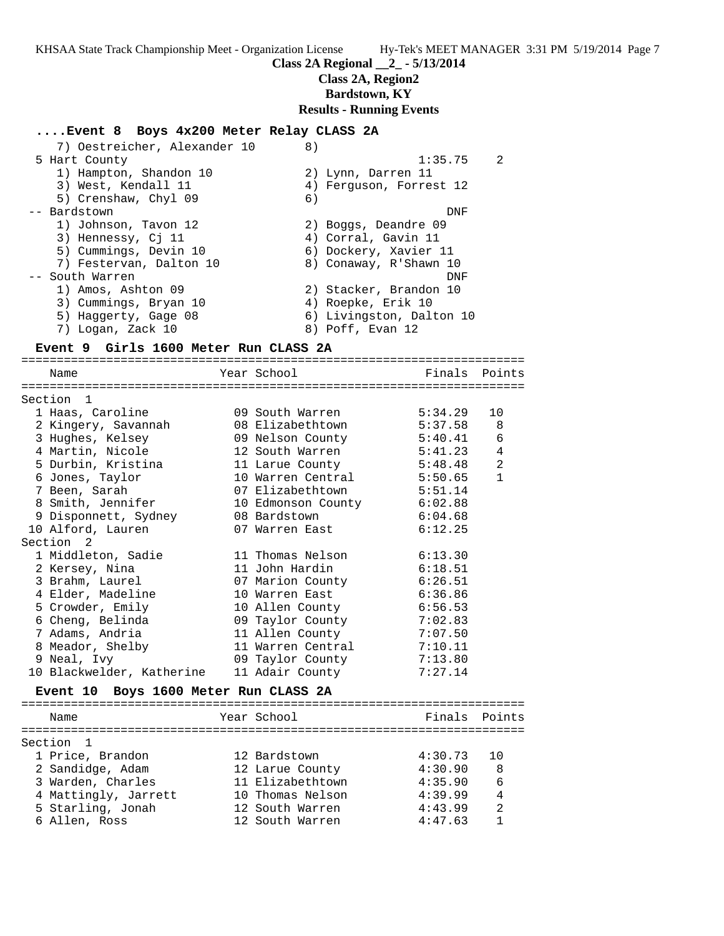#### **Class 2A Regional \_\_2\_ - 5/13/2014**

**Class 2A, Region2**

**Bardstown, KY**

#### **Results - Running Events**

#### **....Event 8 Boys 4x200 Meter Relay CLASS 2A**

| 7) Oestreicher, Alexander 10 | 8)                       |
|------------------------------|--------------------------|
| 5 Hart County                | 1:35.75<br>2             |
| 1) Hampton, Shandon 10       | 2) Lynn, Darren 11       |
| 3) West, Kendall 11          | 4) Ferguson, Forrest 12  |
| 5) Crenshaw, Chyl 09         | 6)                       |
| -- Bardstown                 | DNF                      |
| 1) Johnson, Tavon 12         | 2) Boggs, Deandre 09     |
| 3) Hennessy, Ci 11           | 4) Corral, Gavin 11      |
| 5) Cummings, Devin 10        | 6) Dockery, Xavier 11    |
| 7) Festervan, Dalton 10      | 8) Conaway, R'Shawn 10   |
| -- South Warren              | DNF                      |
| 1) Amos, Ashton 09           | 2) Stacker, Brandon 10   |
| 3) Cummings, Bryan 10        | 4) Roepke, Erik 10       |
| 5) Haggerty, Gage 08         | 6) Livingston, Dalton 10 |
| 7) Logan, Zack 10            | 8) Poff, Evan 12         |
|                              |                          |

#### **Event 9 Girls 1600 Meter Run CLASS 2A**

======================================================================= Name The Year School The Finals Points ======================================================================= Section 1 1 Haas, Caroline 09 South Warren 5:34.29 10 2 Kingery, Savannah 08 Elizabethtown 5:37.58 8 3 Hughes, Kelsey 09 Nelson County 5:40.41 6 4 Martin, Nicole 12 South Warren 5:41.23 4 5 Durbin, Kristina 11 Larue County 5:48.48 2 6 Jones, Taylor 10 Warren Central 5:50.65 1 7 Been, Sarah 07 Elizabethtown 5:51.14 8 Smith, Jennifer 10 Edmonson County 6:02.88 9 Disponnett, Sydney 08 Bardstown 6:04.68 10 Alford, Lauren 07 Warren East 6:12.25 Section 2 1 Middleton, Sadie 11 Thomas Nelson 6:13.30 2 Kersey, Nina 11 John Hardin 6:18.51 3 Brahm, Laurel 07 Marion County 6:26.51 4 Elder, Madeline 10 Warren East 6:36.86 5 Crowder, Emily 10 Allen County 6:56.53 6 Cheng, Belinda 09 Taylor County 7:02.83 7 Adams, Andria 11 Allen County 7:07.50 8 Meador, Shelby 11 Warren Central 7:10.11 9 Neal, Ivy 09 Taylor County 7:13.80 10 Blackwelder, Katherine 11 Adair County 7:27.14

### **Event 10 Boys 1600 Meter Run CLASS 2A**

| Name                 | Year School      | Finals Points |                |
|----------------------|------------------|---------------|----------------|
| Section 1            |                  |               |                |
| 1 Price, Brandon     | 12 Bardstown     | 4:30.73       | 1 O            |
| 2 Sandidge, Adam     | 12 Larue County  | 4:30.90       | 8              |
| 3 Warden, Charles    | 11 Elizabethtown | 4:35.90       | 6              |
| 4 Mattingly, Jarrett | 10 Thomas Nelson | 4:39.99       | $\overline{4}$ |
| 5 Starling, Jonah    | 12 South Warren  | 4:43.99       | $\mathfrak{D}$ |
| 6 Allen, Ross        | 12 South Warren  | 4:47.63       |                |
|                      |                  |               |                |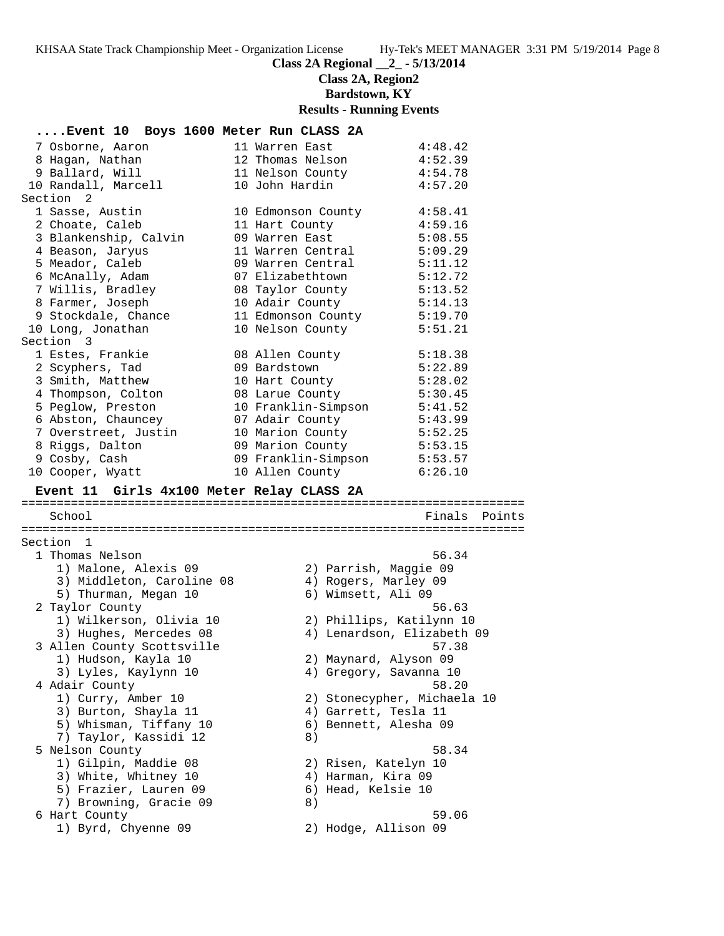**Class 2A Regional \_\_2\_ - 5/13/2014**

**Class 2A, Region2**

**Bardstown, KY**

# **Results - Running Events**

| Event 10 Boys 1600 Meter Run CLASS 2A     |  |  |                     |    |                               |               |
|-------------------------------------------|--|--|---------------------|----|-------------------------------|---------------|
| 7 Osborne, Aaron                          |  |  | 11 Warren East      |    | 4:48.42                       |               |
| 8 Hagan, Nathan                           |  |  | 12 Thomas Nelson    |    | 4:52.39                       |               |
| 9 Ballard, Will                           |  |  | 11 Nelson County    |    | 4:54.78                       |               |
| 10 Randall, Marcell                       |  |  | 10 John Hardin      |    | 4:57.20                       |               |
| Section 2                                 |  |  |                     |    |                               |               |
| 1 Sasse, Austin                           |  |  | 10 Edmonson County  |    | 4:58.41                       |               |
| 2 Choate, Caleb                           |  |  | 11 Hart County      |    | 4:59.16                       |               |
| 3 Blankenship, Calvin                     |  |  | 09 Warren East      |    | 5:08.55                       |               |
| 4 Beason, Jaryus                          |  |  | 11 Warren Central   |    | 5:09.29                       |               |
| 5 Meador, Caleb                           |  |  | 09 Warren Central   |    | 5:11.12                       |               |
| 6 McAnally, Adam                          |  |  | 07 Elizabethtown    |    | 5:12.72                       |               |
| 7 Willis, Bradley                         |  |  | 08 Taylor County    |    | 5:13.52                       |               |
| 8 Farmer, Joseph                          |  |  | 10 Adair County     |    | 5:14.13                       |               |
| 9 Stockdale, Chance                       |  |  | 11 Edmonson County  |    | 5:19.70                       |               |
| 10 Long, Jonathan                         |  |  | 10 Nelson County    |    | 5:51.21                       |               |
| Section 3                                 |  |  |                     |    |                               |               |
| 1 Estes, Frankie                          |  |  | 08 Allen County     |    | 5:18.38                       |               |
| 2 Scyphers, Tad                           |  |  | 09 Bardstown        |    | 5:22.89                       |               |
| 3 Smith, Matthew                          |  |  | 10 Hart County      |    | 5:28.02                       |               |
| 4 Thompson, Colton                        |  |  | 08 Larue County     |    | 5:30.45                       |               |
| 5 Peglow, Preston                         |  |  | 10 Franklin-Simpson |    | 5:41.52                       |               |
| 6 Abston, Chauncey                        |  |  | 07 Adair County     |    | 5:43.99                       |               |
| 7 Overstreet, Justin                      |  |  | 10 Marion County    |    | 5:52.25                       |               |
| 8 Riggs, Dalton                           |  |  | 09 Marion County    |    | 5:53.15                       |               |
| 9 Cosby, Cash                             |  |  | 09 Franklin-Simpson |    | 5:53.57                       |               |
| 10 Cooper, Wyatt                          |  |  | 10 Allen County     |    | 6:26.10                       |               |
|                                           |  |  |                     |    |                               |               |
| Event 11 Girls 4x100 Meter Relay CLASS 2A |  |  |                     |    |                               |               |
|                                           |  |  |                     |    |                               |               |
| School                                    |  |  |                     |    |                               | Finals Points |
|                                           |  |  |                     |    |                               |               |
| Section 1                                 |  |  |                     |    |                               |               |
| 1 Thomas Nelson                           |  |  |                     |    | 56.34                         |               |
| 1) Malone, Alexis 09                      |  |  |                     |    | 2) Parrish, Maggie 09         |               |
| 3) Middleton, Caroline 08                 |  |  |                     |    | 4) Rogers, Marley 09          |               |
| 5) Thurman, Megan 10                      |  |  |                     |    | 6) Wimsett, Ali 09            |               |
| 2 Taylor County                           |  |  |                     |    | 56.63                         |               |
| 1) Wilkerson, Olivia 10                   |  |  |                     |    | 2) Phillips, Katilynn 10      |               |
| 3) Hughes, Mercedes 08                    |  |  |                     |    | 4) Lenardson, Elizabeth 09    |               |
| 3 Allen County Scottsville                |  |  |                     |    | 57.38                         |               |
| 1) Hudson, Kayla 10                       |  |  |                     |    | 2) Maynard, Alyson 09         |               |
| 3) Lyles, Kaylynn 10                      |  |  |                     |    | 4) Gregory, Savanna 10        |               |
| 4 Adair County                            |  |  |                     |    | 58.20                         |               |
| 1) Curry, Amber 10                        |  |  |                     |    | 2) Stonecypher, Michaela 10   |               |
| 3) Burton, Shayla 11                      |  |  |                     |    | 4) Garrett, Tesla 11          |               |
| 5) Whisman, Tiffany 10                    |  |  |                     |    | 6) Bennett, Alesha 09         |               |
| 7) Taylor, Kassidi 12                     |  |  |                     | 8) |                               |               |
| 5 Nelson County                           |  |  |                     |    | 58.34                         |               |
| 1) Gilpin, Maddie 08                      |  |  |                     |    | 2) Risen, Katelyn 10          |               |
| 3) White, Whitney 10                      |  |  |                     |    | 4) Harman, Kira 09            |               |
| 5) Frazier, Lauren 09                     |  |  |                     |    | 6) Head, Kelsie 10            |               |
| 7) Browning, Gracie 09                    |  |  |                     | 8) |                               |               |
| 6 Hart County<br>1) Byrd, Chyenne 09      |  |  |                     |    | 59.06<br>2) Hodge, Allison 09 |               |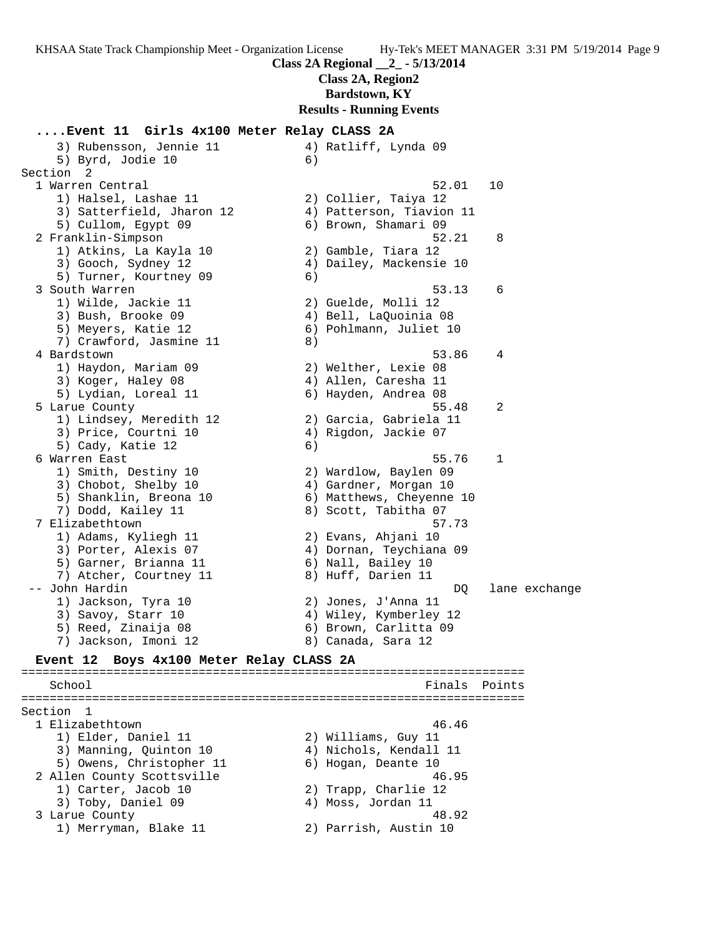**Class 2A, Region2**

**Bardstown, KY**

**Results - Running Events**

#### **....Event 11 Girls 4x100 Meter Relay CLASS 2A**

3) Rubensson, Jennie 11  $\hskip10mm$  4) Ratliff, Lynda 09 5) Byrd, Jodie 10 (6) Section 2 1 Warren Central 52.01 10 1) Halsel, Lashae 11 2) Collier, Taiya 12 3) Satterfield, Jharon 12 4) Patterson, Tiavion 11 5) Cullom, Egypt 09 6) Brown, Shamari 09 2 Franklin-Simpson 52.21 8 1) Atkins, La Kayla 10 2) Gamble, Tiara 12 3) Gooch, Sydney 12 4) Dailey, Mackensie 10 5) Turner, Kourtney 09 (6) 3 South Warren 53.13 6 1) Wilde, Jackie 11 2) Guelde, Molli 12 3) Bush, Brooke 09 4) Bell, LaQuoinia 08 5) Meyers, Katie 12 6) Pohlmann, Juliet 10 7) Crawford, Jasmine 11 and 8) 4 Bardstown 53.86 4 1) Haydon, Mariam 09 2) Welther, Lexie 08 3) Koger, Haley 08 4) Allen, Caresha 11 5) Lydian, Loreal 11 6) Hayden, Andrea 08 5 Larue County 55.48 2 1) Lindsey, Meredith 12 2) Garcia, Gabriela 11 3) Price, Courtni 10 (4) Rigdon, Jackie 07 5) Cady, Katie 12 (6) 6 Warren East 55.76 1 1) Smith, Destiny 10 2) Wardlow, Baylen 09 3) Chobot, Shelby 10 4) Gardner, Morgan 10 5) Shanklin, Breona 10 6) Matthews, Cheyenne 10 7) Dodd, Kailey 11 8) Scott, Tabitha 07 7 Elizabethtown 57.73 1) Adams, Kyliegh 11 2) Evans, Ahjani 10 3) Porter, Alexis 07 4) Dornan, Teychiana 09 5) Garner, Brianna 11 (6) Nall, Bailey 10 7) Atcher, Courtney 11 and 8) Huff, Darien 11 -- John Hardin DQ lane exchange 1) Jackson, Tyra 10 2) Jones, J'Anna 11 3) Savoy, Starr 10 4) Wiley, Kymberley 12 5) Reed, Zinaija 08 6) Brown, Carlitta 09 7) Jackson, Imoni 12 and 8) Canada, Sara 12 **Event 12 Boys 4x100 Meter Relay CLASS 2A** ======================================================================= School **Finals** Points **Points** ======================================================================= Section 1 1 Elizabethtown 46.46 1) Elder, Daniel 11 2) Williams, Guy 11 3) Manning, Quinton 10 4) Nichols, Kendall 11 5) Owens, Christopher 11 6) Hogan, Deante 10 2 Allen County Scottsville 46.95 1) Carter, Jacob 10 2) Trapp, Charlie 12 3) Toby, Daniel 09 (4) Moss, Jordan 11 3 Larue County 48.92 1) Merryman, Blake 11 (2) Parrish, Austin 10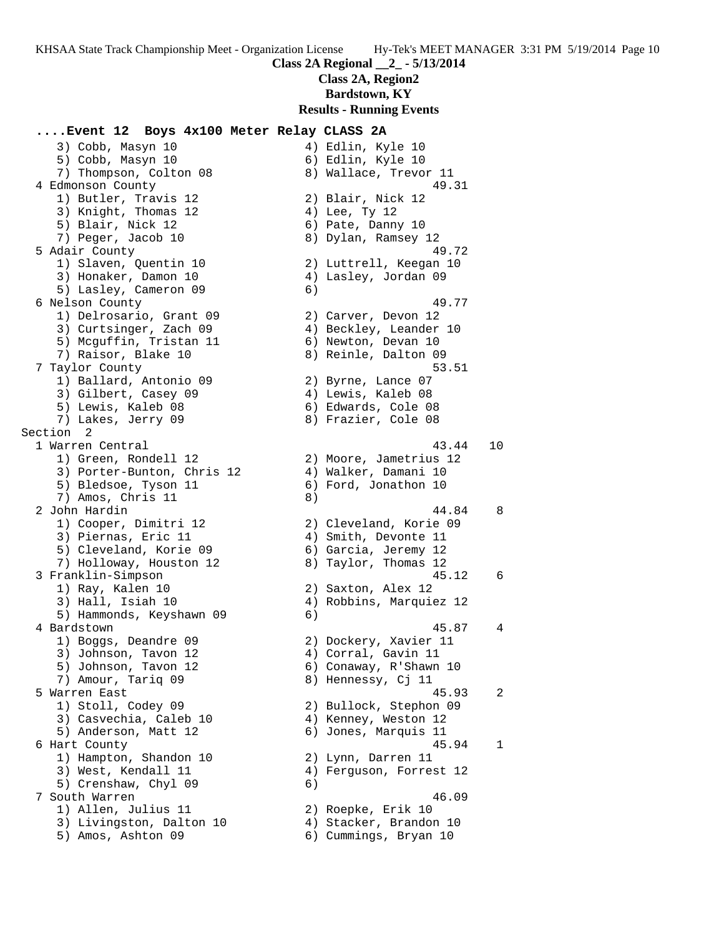**Class 2A, Region2**

**Bardstown, KY**

#### **Results - Running Events**

### **....Event 12 Boys 4x100 Meter Relay CLASS 2A**

3) Cobb, Masyn 10 4) Edlin, Kyle 10 5) Cobb, Masyn 10 6) Edlin, Kyle 10 7) Thompson, Colton 08 8) Wallace, Trevor 11 4 Edmonson County 49.31 1) Butler, Travis 12 2) Blair, Nick 12 3) Knight, Thomas 12 (4) Lee, Ty 12 5) Blair, Nick 12 (6) Pate, Danny 10 7) Peger, Jacob 10 8) Dylan, Ramsey 12 5 Adair County 49.72 1) Slaven, Quentin 10 2) Luttrell, Keegan 10 3) Honaker, Damon 10 4) Lasley, Jordan 09 5) Lasley, Cameron 09 6) 6 Nelson County 49.77 1) Delrosario, Grant 09 2) Carver, Devon 12 3) Curtsinger, Zach 09 4) Beckley, Leander 10 5) Mcguffin, Tristan 11 6) Newton, Devan 10 7) Raisor, Blake 10 8) Reinle, Dalton 09 7 Taylor County 53.51 1) Ballard, Antonio 09 2) Byrne, Lance 07 3) Gilbert, Casey 09 (4) Lewis, Kaleb 08 5) Lewis, Kaleb 08 6) Edwards, Cole 08 7) Lakes, Jerry 09 8) Frazier, Cole 08 Section 2<br>1 Warren Central 1) Green, Rondell 12 2) Moore, Jametrius 12 3) Porter-Bunton, Chris 12 (4) Walker, Damani 10 5) Bledsoe, Tyson 11 6) Ford, Jonathon 10 7) Amos, Chris 11 8) 1) Cooper, Dimitri 12 2) Cleveland, Korie 09 3) Piernas, Eric 11 (4) Smith, Devonte 11 5) Cleveland, Korie 09 6) Garcia, Jeremy 12 7) Holloway, Houston 12 8) Taylor, Thomas 12 1) Ray, Kalen 10 2) Saxton, Alex 12 3) Hall, Isiah 10 4) Robbins, Marquiez 12 5) Hammonds, Keyshawn 09 6) 1) Boggs, Deandre 09 2) Dockery, Xavier 11 3) Johnson, Tavon 12 4) Corral, Gavin 11 5) Johnson, Tavon 12 6) Conaway, R'Shawn 10 7) Amour, Tariq 09 8) Hennessy, Cj 11 1) Stoll, Codey 09 2) Bullock, Stephon 09 3) Casvechia, Caleb 10 (4) Kenney, Weston 12 5) Anderson, Matt 12 6) Jones, Marquis 11 1) Hampton, Shandon 10 2) Lynn, Darren 11 3) West, Kendall 11 4) Ferguson, Forrest 12 5) Crenshaw, Chyl 09 6) 7 South Warren 46.09 1) Allen, Julius 11 2) Roepke, Erik 10 3) Livingston, Dalton 10 4) Stacker, Brandon 10 5) Amos, Ashton 09 6) Cummings, Bryan 10

 1 Warren Central 43.44 10 2 John Hardin 44.84 8 3 Franklin-Simpson 45.12 6 4 Bardstown 45.87 4 5 Warren East 45.93 2 6 Hart County 45.94 1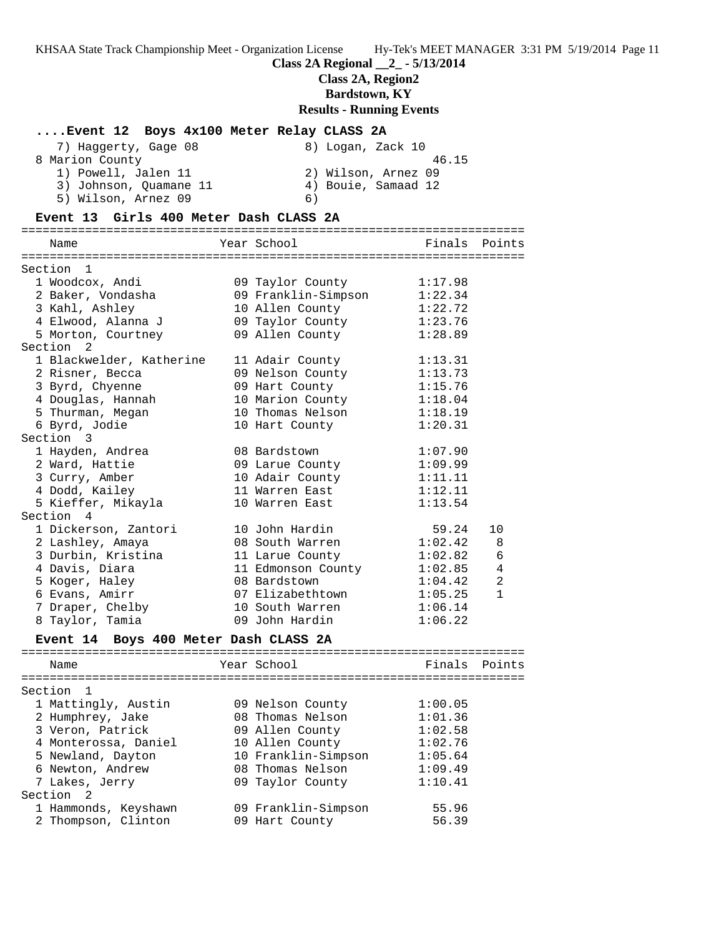#### **Class 2A Regional \_\_2\_ - 5/13/2014**

#### **Class 2A, Region2**

**Bardstown, KY**

#### **Results - Running Events**

### **....Event 12 Boys 4x100 Meter Relay CLASS 2A**

| 7) Haqqerty, Gaqe 08   | 8) Logan, Zack 10   |
|------------------------|---------------------|
| 8 Marion County        | 46.15               |
| 1) Powell, Jalen 11    | 2) Wilson, Arnez 09 |
| 3) Johnson, Ouamane 11 | 4) Bouie, Samaad 12 |
| 5) Wilson, Arnez 09    | 6)                  |

#### **Event 13 Girls 400 Meter Dash CLASS 2A**

======================================================================= Name The Year School The Finals Points ======================================================================= Section 1 1 Woodcox, Andi 09 Taylor County 1:17.98 2 Baker, Vondasha 09 Franklin-Simpson 1:22.34 3 Kahl, Ashley 10 Allen County 1:22.72 4 Elwood, Alanna J 09 Taylor County 1:23.76 5 Morton, Courtney 09 Allen County 1:28.89 Section 2 1 Blackwelder, Katherine 11 Adair County 1:13.31 2 Risner, Becca 09 Nelson County 1:13.73 3 Byrd, Chyenne 09 Hart County 1:15.76 4 Douglas, Hannah 10 Marion County 1:18.04 5 Thurman, Megan 10 Thomas Nelson 1:18.19 6 Byrd, Jodie 10 Hart County 1:20.31 Section 3 1 Hayden, Andrea 08 Bardstown 1:07.90 2 Ward, Hattie 09 Larue County 1:09.99 3 Curry, Amber 10 Adair County 1:11.11 4 Dodd, Kailey 11 Warren East 1:12.11 5 Kieffer, Mikayla 10 Warren East 1:13.54 Section 4 1 Dickerson, Zantori 10 John Hardin 59.24 10 2 Lashley, Amaya 08 South Warren 1:02.42 8 3 Durbin, Kristina 11 Larue County 1:02.82 6 4 Davis, Diara 11 Edmonson County 1:02.85 4 5 Koger, Haley 08 Bardstown 1:04.42 2 6 Evans, Amirr 07 Elizabethtown 1:05.25 1 7 Draper, Chelby 10 South Warren 1:06.14 8 Taylor, Tamia 09 John Hardin 1:06.22

#### **Event 14 Boys 400 Meter Dash CLASS 2A**

======================================================================= Name The Year School The Finals Points ======================================================================= Section 1 1 Mattingly, Austin 09 Nelson County 1:00.05 2 Humphrey, Jake 08 Thomas Nelson 1:01.36 3 Veron, Patrick 09 Allen County 1:02.58 4 Monterossa, Daniel 10 Allen County 1:02.76 5 Newland, Dayton 10 Franklin-Simpson 1:05.64 6 Newton, Andrew 08 Thomas Nelson 1:09.49 7 Lakes, Jerry 09 Taylor County 1:10.41 Section 2 1 Hammonds, Keyshawn 09 Franklin-Simpson 55.96 2 Thompson, Clinton 09 Hart County 56.39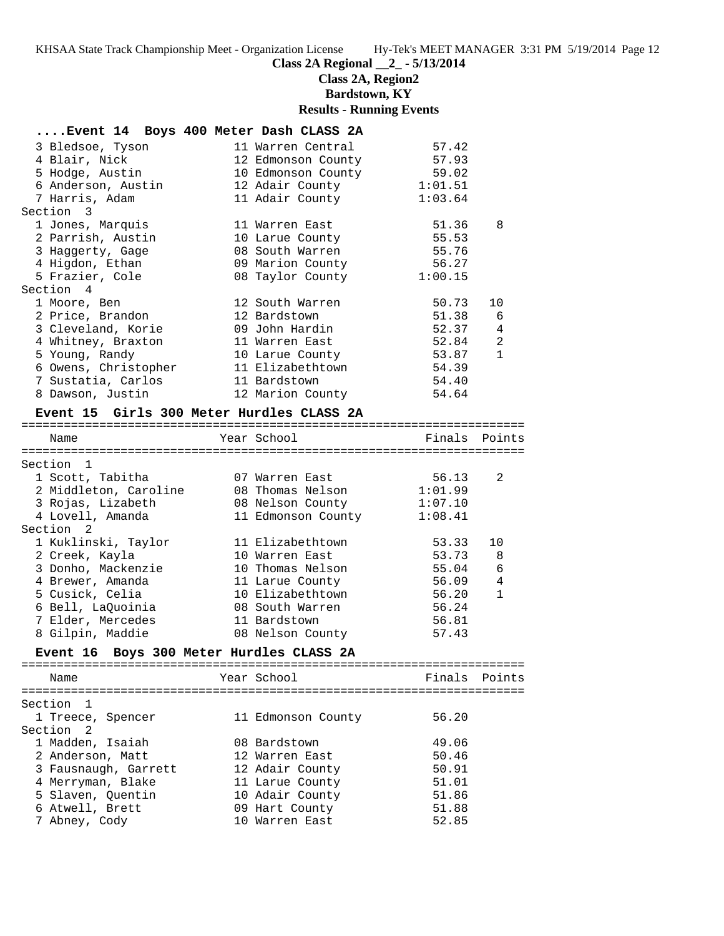**Class 2A Regional \_\_2\_ - 5/13/2014**

**Class 2A, Region2**

**Bardstown, KY**

#### **Results - Running Events**

#### **....Event 14 Boys 400 Meter Dash CLASS 2A**

| 3 Bledsoe, Tyson                              | 11 Warren Central        | 57.42   |    |
|-----------------------------------------------|--------------------------|---------|----|
| 4 Blair, Nick                                 | 12 Edmonson County       | 57.93   |    |
| 5 Hodge, Austin                               | 10 Edmonson County 59.02 |         |    |
| 6 Anderson, Austin 12 Adair County 1:01.51    |                          |         |    |
| 7 Harris, Adam                                | 11 Adair County 1:03.64  |         |    |
| Section 3                                     |                          |         |    |
| 1 Jones, Marquis                              | 11 Warren East           | 51.36   | 8  |
| 2 Parrish, Austin                             | 10 Larue County          | 55.53   |    |
| 3 Haqqerty, Gaqe                              | 08 South Warren          | 55.76   |    |
| 4 Higdon, Ethan                               | 09 Marion County         | 56.27   |    |
| 5 Frazier, Cole                               | 08 Taylor County         | 1:00.15 |    |
| Section 4                                     |                          |         |    |
| 1 Moore, Ben                                  | 12 South Warren          | 50.73   | 10 |
| 2 Price, Brandon                              | 12 Bardstown             | 51.38 6 |    |
| 3 Cleveland, Korie                            | 09 John Hardin           | 52.37 4 |    |
| 4 Whitney, Braxton                            | 11 Warren East           | 52.84 2 |    |
| 5 Young, Randy                                | 10 Larue County          | 53.87 1 |    |
| 6 Owens, Christopher                          | 11 Elizabethtown         | 54.39   |    |
| 7 Sustatia, Carlos               11 Bardstown |                          | 54.40   |    |
| 8 Dawson, Justin                              | 12 Marion County         | 54.64   |    |
| — 15 ALI 200 M.I. TT. . ATLAN ON              |                          |         |    |

#### **Event 15 Girls 300 Meter Hurdles CLASS 2A**

======================================================================= Name Year School Finals Points

| name                  | TCAT POITOOT       | $1.117 + 0.1$ | FUILLO         |
|-----------------------|--------------------|---------------|----------------|
|                       |                    |               |                |
| Section 1             |                    |               |                |
| 1 Scott, Tabitha      | 07 Warren East     | 56.13         | -2             |
| 2 Middleton, Caroline | 08 Thomas Nelson   | 1:01.99       |                |
| 3 Rojas, Lizabeth     | 08 Nelson County   | 1:07.10       |                |
| 4 Lovell, Amanda      | 11 Edmonson County | 1:08.41       |                |
| Section 2             |                    |               |                |
| 1 Kuklinski, Taylor   | 11 Elizabethtown   | 53.33         | 10             |
| 2 Creek, Kayla        | 10 Warren East     | 53.73 8       |                |
| 3 Donho, Mackenzie    | 10 Thomas Nelson   | 55.04         | 6              |
| 4 Brewer, Amanda      | 11 Larue County    | 56.09         | $\overline{4}$ |
| 5 Cusick, Celia       | 10 Elizabethtown   | 56.20         | $\mathbf{1}$   |
| 6 Bell, LaQuoinia     | 08 South Warren    | 56.24         |                |
| 7 Elder, Mercedes     | 11 Bardstown       | 56.81         |                |
| 8 Gilpin, Maddie      | 08 Nelson County   | 57.43         |                |
|                       |                    |               |                |

#### **Event 16 Boys 300 Meter Hurdles CLASS 2A**

======================================================================= Name The Year School The Finals Points ======================================================================= Section 1 1 Treece, Spencer 11 Edmonson County 56.20<br>Section 2 Section 2 1 Madden, Isaiah 08 Bardstown 49.06 2 Anderson, Matt 12 Warren East 50.46 3 Fausnaugh, Garrett 12 Adair County 50.91 4 Merryman, Blake 11 Larue County 51.01 5 Slaven, Quentin 10 Adair County 51.86 6 Atwell, Brett 09 Hart County 51.88 7 Abney, Cody 10 Warren East 52.85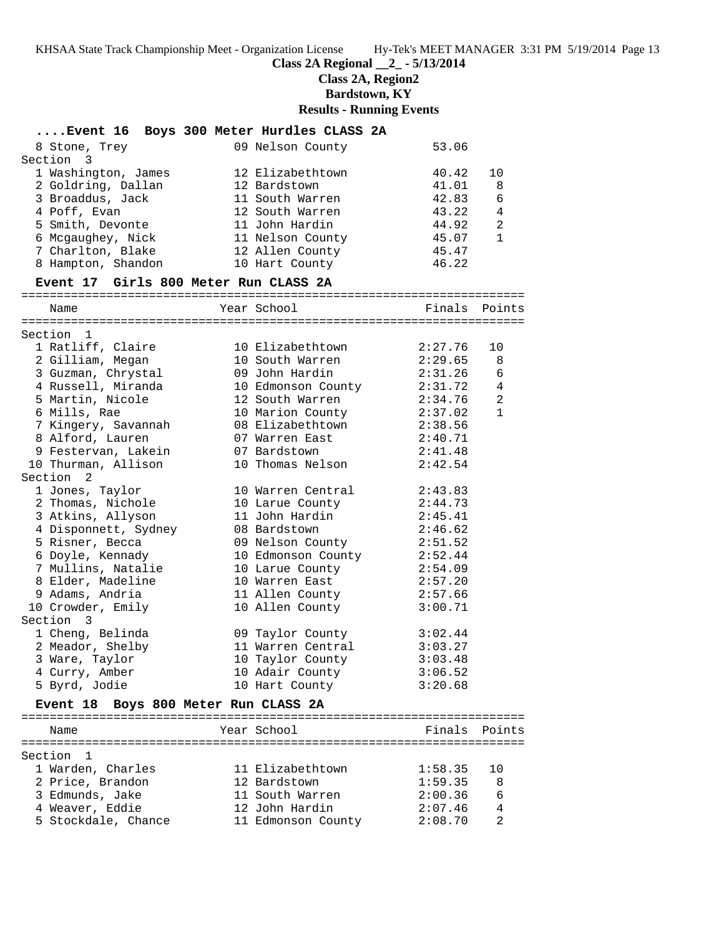#### **Class 2A Regional \_\_2\_ - 5/13/2014**

**Class 2A, Region2**

**Bardstown, KY**

#### **Results - Running Events**

| Event 16 Boys 300 Meter Hurdles CLASS 2A |                    |         |                |
|------------------------------------------|--------------------|---------|----------------|
| 8 Stone, Trey                            | 09 Nelson County   | 53.06   |                |
| Section 3                                |                    |         |                |
| 1 Washington, James                      | 12 Elizabethtown   | 40.42   | 10             |
| 2 Goldring, Dallan                       | 12 Bardstown       | 41.01   | 8              |
| 3 Broaddus, Jack                         | 11 South Warren    | 42.83   | 6              |
| 4 Poff, Evan                             | 12 South Warren    | 43.22   | $\overline{4}$ |
| 5 Smith, Devonte                         | 11 John Hardin     | 44.92   | $\overline{2}$ |
| 6 Mcgaughey, Nick                        | 11 Nelson County   | 45.07   | $\mathbf{1}$   |
| 7 Charlton, Blake                        | 12 Allen County    | 45.47   |                |
| 8 Hampton, Shandon                       | 10 Hart County     | 46.22   |                |
| Event 17 Girls 800 Meter Run CLASS 2A    |                    |         |                |
| Name                                     | Year School        | Finals  | Points         |
|                                          |                    |         |                |
| Section 1                                |                    |         |                |
| 1 Ratliff, Claire                        | 10 Elizabethtown   | 2:27.76 | 10             |
| 2 Gilliam, Megan                         | 10 South Warren    | 2:29.65 | 8              |
| 3 Guzman, Chrystal                       | 09 John Hardin     | 2:31.26 | $\epsilon$     |
| 4 Russell, Miranda                       | 10 Edmonson County | 2:31.72 | $\overline{4}$ |
| 5 Martin, Nicole                         | 12 South Warren    | 2:34.76 | $\overline{a}$ |
| 6 Mills, Rae                             | 10 Marion County   | 2:37.02 | $\mathbf{1}$   |
| 7 Kingery, Savannah                      | 08 Elizabethtown   | 2:38.56 |                |
| 8 Alford, Lauren                         | 07 Warren East     | 2:40.71 |                |
| 9 Festervan, Lakein                      | 07 Bardstown       | 2:41.48 |                |
| 10 Thurman, Allison                      | 10 Thomas Nelson   | 2:42.54 |                |
| Section 2                                |                    |         |                |
| 1 Jones, Taylor                          | 10 Warren Central  | 2:43.83 |                |
| 2 Thomas, Nichole                        | 10 Larue County    | 2:44.73 |                |
| 3 Atkins, Allyson                        | 11 John Hardin     | 2:45.41 |                |
| 4 Disponnett, Sydney                     | 08 Bardstown       | 2:46.62 |                |
| 5 Risner, Becca                          | 09 Nelson County   | 2:51.52 |                |
| 6 Doyle, Kennady                         | 10 Edmonson County | 2:52.44 |                |
| 7 Mullins, Natalie                       | 10 Larue County    | 2:54.09 |                |
| 8 Elder, Madeline                        | 10 Warren East     | 2:57.20 |                |
| 9 Adams, Andria                          | 11 Allen County    | 2:57.66 |                |
| 10 Crowder Emily                         | 10 Allen County    | 3:00 71 |                |

Section 3

# 10 Crowder, Emily 10 Allen County 3:00.71 1 Cheng, Belinda 09 Taylor County 3:02.44 2 Meador, Shelby 11 Warren Central 3:03.27 3 Ware, Taylor 10 Taylor County 3:03.48 4 Curry, Amber 10 Adair County 3:06.52 5 Byrd, Jodie 10 Hart County 3:20.68

## **Event 18 Boys 800 Meter Run CLASS 2A**

======================================================================= Name The Year School The Finals Points ======================================================================= Section 1 1 Warden, Charles 11 Elizabethtown 1:58.35 10 2 Price, Brandon 12 Bardstown 1:59.35 8 3 Edmunds, Jake 11 South Warren 2:00.36 6 4 Weaver, Eddie 12 John Hardin 2:07.46 4 5 Stockdale, Chance 11 Edmonson County 2:08.70 2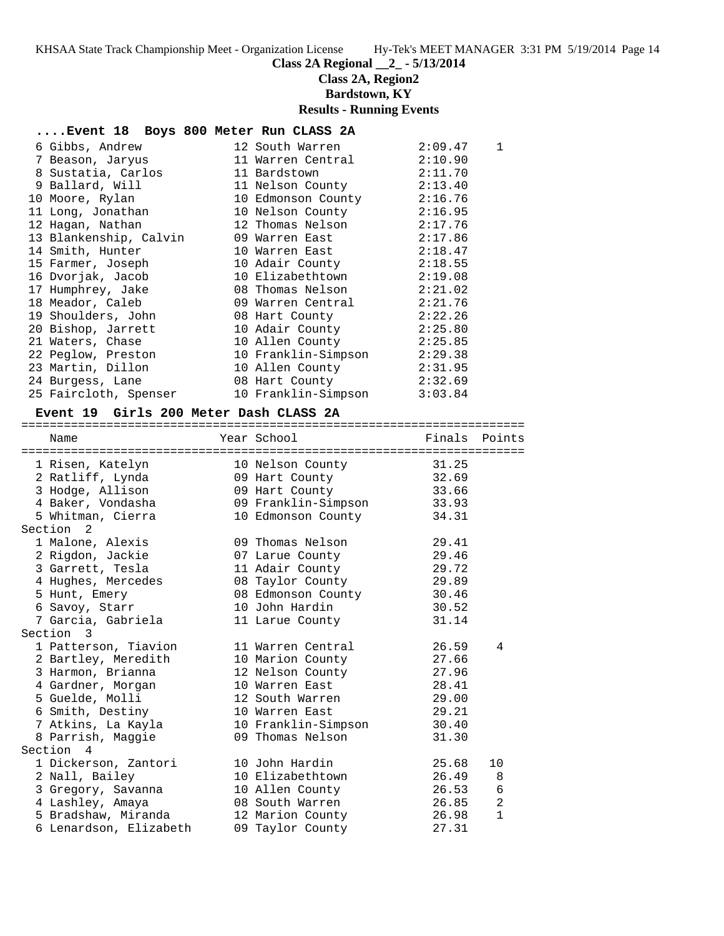**Class 2A Regional \_\_2\_ - 5/13/2014**

**Class 2A, Region2**

**Bardstown, KY**

# **Results - Running Events**

### **....Event 18 Boys 800 Meter Run CLASS 2A**

| 6 Gibbs, Andrew        | 12 South Warren     | 2:09.47 | 1 |
|------------------------|---------------------|---------|---|
| 7 Beason, Jaryus       | 11 Warren Central   | 2:10.90 |   |
| 8 Sustatia, Carlos     | 11 Bardstown        | 2:11.70 |   |
| 9 Ballard, Will        | 11 Nelson County    | 2:13.40 |   |
| 10 Moore, Rylan        | 10 Edmonson County  | 2:16.76 |   |
| 11 Long, Jonathan      | 10 Nelson County    | 2:16.95 |   |
| 12 Hagan, Nathan       | 12 Thomas Nelson    | 2:17.76 |   |
| 13 Blankenship, Calvin | 09 Warren East      | 2:17.86 |   |
| 14 Smith, Hunter       | 10 Warren East      | 2:18.47 |   |
| 15 Farmer, Joseph      | 10 Adair County     | 2:18.55 |   |
| 16 Dvorjak, Jacob      | 10 Elizabethtown    | 2:19.08 |   |
| 17 Humphrey, Jake      | 08 Thomas Nelson    | 2:21.02 |   |
| 18 Meador, Caleb       | 09 Warren Central   | 2:21.76 |   |
| 19 Shoulders, John     | 08 Hart County      | 2:22.26 |   |
| 20 Bishop, Jarrett     | 10 Adair County     | 2:25.80 |   |
| 21 Waters, Chase       | 10 Allen County     | 2:25.85 |   |
| 22 Peglow, Preston     | 10 Franklin-Simpson | 2:29.38 |   |
| 23 Martin, Dillon      | 10 Allen County     | 2:31.95 |   |
| 24 Burgess, Lane       | 08 Hart County      | 2:32.69 |   |
| 25 Faircloth, Spenser  | 10 Franklin-Simpson | 3:03.84 |   |

### **Event 19 Girls 200 Meter Dash CLASS 2A**

=======================================================================

| Name                                   | Year School                          | Finals | Points         |
|----------------------------------------|--------------------------------------|--------|----------------|
| ====================================== | ==================================== |        |                |
| 1 Risen, Katelyn                       | 10 Nelson County                     | 31.25  |                |
| 2 Ratliff, Lynda                       | 09 Hart County                       | 32.69  |                |
| 3 Hodge, Allison                       | 09 Hart County                       | 33.66  |                |
| 4 Baker, Vondasha                      | 09 Franklin-Simpson 33.93            |        |                |
| 5 Whitman, Cierra                      | 10 Edmonson County                   | 34.31  |                |
| Section <sub>2</sub>                   |                                      |        |                |
| 1 Malone, Alexis                       | 09 Thomas Nelson                     | 29.41  |                |
| 2 Rigdon, Jackie                       | 07 Larue County                      | 29.46  |                |
| 3 Garrett, Tesla                       | 11 Adair County                      | 29.72  |                |
| 4 Hughes, Mercedes                     | 08 Taylor County 29.89               |        |                |
| 5 Hunt, Emery                          | 08 Edmonson County                   | 30.46  |                |
| 6 Savoy, Starr                         | 10 John Hardin                       | 30.52  |                |
| 7 Garcia, Gabriela                     | 11 Larue County                      | 31.14  |                |
| Section 3                              |                                      |        |                |
| 1 Patterson, Tiavion                   | 11 Warren Central                    | 26.59  | 4              |
| 2 Bartley, Meredith                    | 10 Marion County                     | 27.66  |                |
| 3 Harmon, Brianna                      | 12 Nelson County                     | 27.96  |                |
| 4 Gardner, Morgan                      | 10 Warren East                       | 28.41  |                |
| 5 Guelde, Molli                        | 12 South Warren                      | 29.00  |                |
| 6 Smith, Destiny                       | 10 Warren East                       | 29.21  |                |
| 7 Atkins, La Kayla                     | 10 Franklin-Simpson                  | 30.40  |                |
| 8 Parrish, Maggie                      | 09 Thomas Nelson                     | 31.30  |                |
| Section 4                              |                                      |        |                |
| 1 Dickerson, Zantori                   | 10 John Hardin                       | 25.68  | 10             |
| 2 Nall, Bailey                         | 10 Elizabethtown                     | 26.49  | 8              |
| 3 Gregory, Savanna                     | 10 Allen County                      | 26.53  | $\sqrt{6}$     |
| 4 Lashley, Amaya                       | 08 South Warren                      | 26.85  | $\overline{2}$ |
| 5 Bradshaw, Miranda                    | 12 Marion County                     | 26.98  | $\mathbf{1}$   |
| 6 Lenardson, Elizabeth                 | 09 Taylor County                     | 27.31  |                |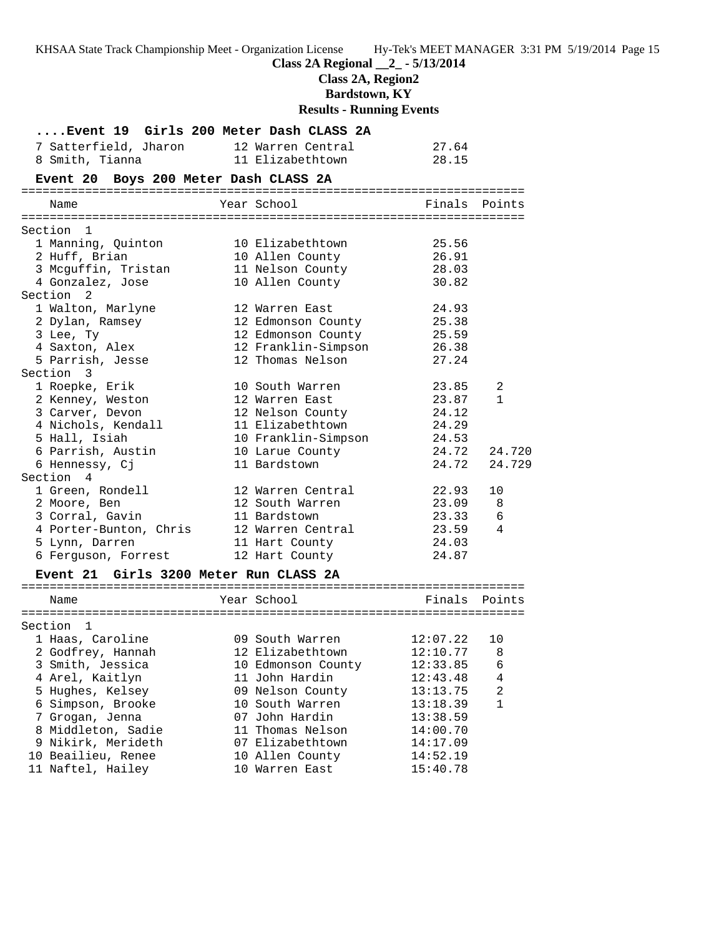|                                         | KHSAA State Track Championship Meet - Organization License Hy-Tek's MEET MANAGER 3:31 PM |          |              |
|-----------------------------------------|------------------------------------------------------------------------------------------|----------|--------------|
|                                         | Class 2A Regional _2_ - 5/13/2014<br>Class 2A, Region2                                   |          |              |
|                                         | <b>Bardstown, KY</b>                                                                     |          |              |
|                                         | <b>Results - Running Events</b>                                                          |          |              |
|                                         | Event 19 Girls 200 Meter Dash CLASS 2A                                                   |          |              |
| 7 Satterfield, Jharon 12 Warren Central |                                                                                          | 27.64    |              |
| 8 Smith, Tianna 11 Elizabethtown        |                                                                                          | 28.15    |              |
| Event 20 Boys 200 Meter Dash CLASS 2A   |                                                                                          |          |              |
|                                         |                                                                                          |          |              |
| Name                                    | Year School                                                                              | Finals   | Points       |
| Section 1                               |                                                                                          |          |              |
| 1 Manning, Quinton                      | 10 Elizabethtown                                                                         | 25.56    |              |
| 2 Huff, Brian                           | 10 Allen County                                                                          | 26.91    |              |
|                                         | 3 Mcguffin, Tristan 11 Nelson County 28.03                                               |          |              |
| 4 Gonzalez, Jose                        | 10 Allen County                                                                          | 30.82    |              |
| Section 2                               |                                                                                          |          |              |
| 1 Walton, Marlyne                       | 12 Warren East                                                                           | 24.93    |              |
| 2 Dylan, Ramsey                         | 12 Edmonson County                                                                       | 25.38    |              |
| 3 Lee, Ty                               | 12 Edmonson County                                                                       | 25.59    |              |
| 4 Saxton, Alex                          | 12 Franklin-Simpson 26.38                                                                |          |              |
| 5 Parrish, Jesse                        | 12 Thomas Nelson                                                                         | 27.24    |              |
| Section 3                               |                                                                                          |          |              |
| 1 Roepke, Erik                          | 10 South Warren                                                                          | 23.85    | 2            |
| 2 Kenney, Weston                        | 12 Warren East                                                                           | 23.87    | $\mathbf{1}$ |
| 3 Carver, Devon                         | 12 Nelson County                                                                         | 24.12    |              |
| 4 Nichols, Kendall                      | 11 Elizabethtown                                                                         | 24.29    |              |
| 5 Hall, Isiah                           | 10 Franklin-Simpson 24.53                                                                |          |              |
| 6 Parrish, Austin                       | 10 Larue County                                                                          | 24.72    | 24.720       |
| 6 Hennessy, Cj                          | 11 Bardstown                                                                             | 24.72    | 24.729       |
| Section 4                               |                                                                                          |          |              |
| 1 Green, Rondell                        | 12 Warren Central                                                                        | 22.93    | 10           |
| 2 Moore, Ben                            | 12 South Warren                                                                          | 23.09    | 8            |
| 3 Corral, Gavin                         | 11 Bardstown                                                                             | 23.33    | 6            |
| 4 Porter-Bunton, Chris                  | 12 Warren Central                                                                        | 23.59    | 4            |
| 5 Lynn, Darren                          | 11 Hart County                                                                           | 24.03    |              |
| 6 Ferguson, Forrest                     | 12 Hart County                                                                           | 24.87    |              |
| Event 21 Girls 3200 Meter Run CLASS 2A  |                                                                                          |          |              |
| Name                                    | Year School                                                                              | Finals   | Points       |
|                                         |                                                                                          |          |              |
| Section<br>1                            |                                                                                          |          |              |
| 1 Haas, Caroline                        | 09 South Warren                                                                          | 12:07.22 | 10           |
| 2 Godfrey, Hannah                       | 12 Elizabethtown                                                                         | 12:10.77 | 8            |
| 3 Smith, Jessica                        | 10 Edmonson County                                                                       | 12:33.85 | 6            |
| 4 Arel, Kaitlyn                         | 11 John Hardin                                                                           | 12:43.48 | 4            |
| 5 Hughes, Kelsey                        | 09 Nelson County                                                                         | 13:13.75 | 2            |
| 6 Simpson, Brooke                       | 10 South Warren                                                                          | 13:18.39 | $\mathbf{1}$ |
| 7 Grogan, Jenna                         | 07 John Hardin                                                                           | 13:38.59 |              |
| 8 Middleton, Sadie                      | 11 Thomas Nelson                                                                         | 14:00.70 |              |
| 9 Nikirk, Merideth                      | 07 Elizabethtown                                                                         | 14:17.09 |              |
| 10 Beailieu, Renee                      | 10 Allen County                                                                          | 14:52.19 |              |
| 11 Naftel, Hailey                       | 10 Warren East                                                                           | 15:40.78 |              |

5/19/2014 Page 15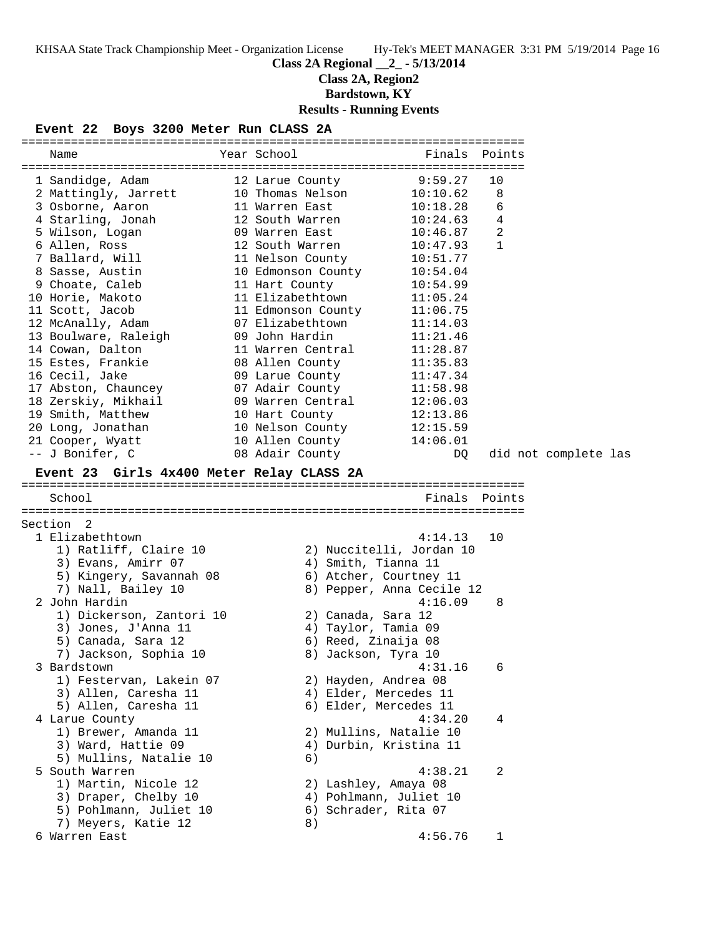# **Class 2A Regional \_\_2\_ - 5/13/2014**

**Class 2A, Region2**

**Bardstown, KY**

# **Results - Running Events**

### **Event 22 Boys 3200 Meter Run CLASS 2A**

| Name                                      | Year School States and the School<br>Finals Points |          |                     |                      |  |
|-------------------------------------------|----------------------------------------------------|----------|---------------------|----------------------|--|
|                                           |                                                    |          |                     |                      |  |
| 1 Sandidge, Adam                          | 9:59.27<br>12 Larue County                         |          | 10                  |                      |  |
| 2 Mattingly, Jarrett                      | 10 Thomas Nelson<br>10:10.62                       |          | 8                   |                      |  |
| 3 Osborne, Aaron                          | 11 Warren East<br>10:18.28<br>10:24.63             |          | 6<br>$\overline{4}$ |                      |  |
| 4 Starling, Jonah<br>5 Wilson, Logan      | 12 South Warren<br>09 Warren East                  | 10:46.87 | $\overline{2}$      |                      |  |
| 6 Allen, Ross                             | 12 South Warren<br>10:47.93                        |          | 1                   |                      |  |
| 7 Ballard, Will                           | 11 Nelson County<br>10:51.77                       |          |                     |                      |  |
| 8 Sasse, Austin                           | 10 Edmonson County<br>10:54.04                     |          |                     |                      |  |
| 9 Choate, Caleb                           | 11 Hart County<br>10:54.99                         |          |                     |                      |  |
| 10 Horie, Makoto                          | 11 Elizabethtown<br>11:05.24                       |          |                     |                      |  |
| 11 Scott, Jacob                           | 11:06.75                                           |          |                     |                      |  |
| 12 McAnally, Adam                         | 11 Edmonson County<br>07 Elizabethtown<br>11:14.03 |          |                     |                      |  |
| 13 Boulware, Raleigh                      | 09 John Hardin<br>11:21.46                         |          |                     |                      |  |
| 14 Cowan, Dalton                          | 11 Warren Central<br>11:28.87                      |          |                     |                      |  |
| 15 Estes, Frankie                         | 08 Allen County<br>11:35.83                        |          |                     |                      |  |
| 16 Cecil, Jake                            | 09 Larue County<br>11:47.34                        |          |                     |                      |  |
| 17 Abston, Chauncey                       | 07 Adair County<br>11:58.98                        |          |                     |                      |  |
| 18 Zerskiy, Mikhail                       | 09 Warren Central 12:06.03                         |          |                     |                      |  |
| 19 Smith, Matthew                         | 10 Hart County<br>12:13.86                         |          |                     |                      |  |
| 20 Long, Jonathan                         | 10 Nelson County<br>12:15.59                       |          |                     |                      |  |
| 21 Cooper, Wyatt                          | 10 Allen County 14:06.01                           |          |                     |                      |  |
| -- J Bonifer, C                           | 08 Adair County                                    | DQ       |                     | did not complete las |  |
| Event 23 Girls 4x400 Meter Relay CLASS 2A |                                                    |          |                     |                      |  |
|                                           |                                                    |          |                     |                      |  |
| School                                    |                                                    |          | Finals Points       |                      |  |
| Section 2                                 |                                                    |          |                     |                      |  |
| 1 Elizabethtown                           |                                                    | 4:14.13  | 10                  |                      |  |
| 1) Ratliff, Claire 10                     | 2) Nuccitelli, Jordan 10                           |          |                     |                      |  |
| 3) Evans, Amirr 07                        | 4) Smith, Tianna 11                                |          |                     |                      |  |
| 5) Kingery, Savannah 08                   | 6) Atcher, Courtney 11                             |          |                     |                      |  |
| 7) Nall, Bailey 10                        | 8) Pepper, Anna Cecile 12                          |          |                     |                      |  |
| 2 John Hardin                             |                                                    | 4:16.09  | - 8                 |                      |  |
| 1) Dickerson, Zantori 10                  | 2) Canada, Sara 12                                 |          |                     |                      |  |
| 3) Jones, J'Anna 11                       | 4) Taylor, Tamia 09                                |          |                     |                      |  |
| 5) Canada, Sara 12                        | 6) Reed, Zinaija 08                                |          |                     |                      |  |
|                                           |                                                    |          |                     |                      |  |
| 7) Jackson, Sophia 10                     | 8) Jackson, Tyra 10                                |          |                     |                      |  |
| 3 Bardstown                               |                                                    | 4:31.16  | 6                   |                      |  |
| 1) Festervan, Lakein 07                   | 2) Hayden, Andrea 08                               |          |                     |                      |  |
| 3) Allen, Caresha 11                      | 4) Elder, Mercedes 11                              |          |                     |                      |  |
| 5) Allen, Caresha 11                      | 6) Elder, Mercedes 11                              |          |                     |                      |  |
| 4 Larue County                            |                                                    | 4:34.20  | 4                   |                      |  |
| 1) Brewer, Amanda 11                      | 2) Mullins, Natalie 10                             |          |                     |                      |  |
| 3) Ward, Hattie 09                        | 4) Durbin, Kristina 11                             |          |                     |                      |  |
| 5) Mullins, Natalie 10                    | 6)                                                 |          |                     |                      |  |
| 5 South Warren                            |                                                    | 4:38.21  | 2                   |                      |  |
| 1) Martin, Nicole 12                      | 2) Lashley, Amaya 08                               |          |                     |                      |  |
| 3) Draper, Chelby 10                      | 4) Pohlmann, Juliet 10                             |          |                     |                      |  |
| 5) Pohlmann, Juliet 10                    | 6) Schrader, Rita 07                               |          |                     |                      |  |
| 7) Meyers, Katie 12<br>6 Warren East      | 8)                                                 | 4:56.76  | 1                   |                      |  |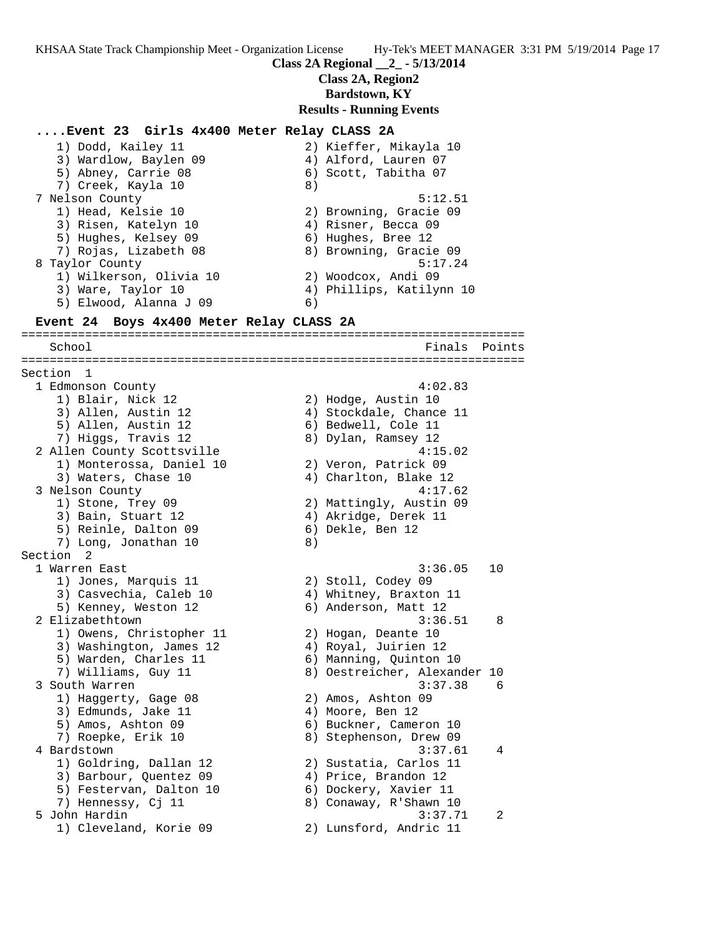**Class 2A Regional \_\_2\_ - 5/13/2014**

**Class 2A, Region2**

**Bardstown, KY**

#### **Results - Running Events**

#### **....Event 23 Girls 4x400 Meter Relay CLASS 2A**

| 1) Dodd, Kailey 11      | 2) Kieffer, Mikayla 10   |
|-------------------------|--------------------------|
| 3) Wardlow, Baylen 09   | 4) Alford, Lauren 07     |
| 5) Abney, Carrie 08     | 6) Scott, Tabitha 07     |
| 7) Creek, Kayla 10      | 8)                       |
| 7 Nelson County         | 5:12.51                  |
| 1) Head, Kelsie 10      | 2) Browning, Gracie 09   |
| 3) Risen, Katelyn 10    | 4) Risner, Becca 09      |
| 5) Hughes, Kelsey 09    | 6) Hughes, Bree 12       |
| 7) Rojas, Lizabeth 08   | 8) Browning, Gracie 09   |
| 8 Taylor County         | 5:17.24                  |
| 1) Wilkerson, Olivia 10 | 2) Woodcox, Andi 09      |
| 3) Ware, Taylor 10      | 4) Phillips, Katilynn 10 |
| 5) Elwood, Alanna J 09  | 6)                       |
|                         |                          |

### **Event 24 Boys 4x400 Meter Relay CLASS 2A**

======================================================================= School **Finals Points** ======================================================================= Section 1 1 Edmonson County 4:02.83 1) Blair, Nick 12 2) Hodge, Austin 10 3) Allen, Austin 12 4) Stockdale, Chance 11 5) Allen, Austin 12 (6) Bedwell, Cole 11 7) Higgs, Travis 12 8) Dylan, Ramsey 12 2 Allen County Scottsville 4:15.02 1) Monterossa, Daniel 10 2) Veron, Patrick 09 3) Waters, Chase 10 4) Charlton, Blake 12 3 Nelson County 4:17.62 1) Stone, Trey 09 2) Mattingly, Austin 09 3) Bain, Stuart 12 (4) Akridge, Derek 11 5) Reinle, Dalton 09 (6) Dekle, Ben 12 7) Long, Jonathan 10 8) Section 2 1 Warren East 3:36.05 10 1) Jones, Marquis 11 2) Stoll, Codey 09 3) Casvechia, Caleb 10 4) Whitney, Braxton 11 5) Kenney, Weston 12 (6) Anderson, Matt 12 2 Elizabethtown 3:36.51 8 1) Owens, Christopher 11 2) Hogan, Deante 10 3) Washington, James 12  $\hskip1cm$  4) Royal, Juirien 12 5) Warden, Charles 11 6) Manning, Quinton 10 7) Williams, Guy 11 8) Oestreicher, Alexander 10 3 South Warren 3:37.38 6 1) Haggerty, Gage 08 2) Amos, Ashton 09 3) Edmunds, Jake 11 (4) Moore, Ben 12 5) Amos, Ashton 09 6) Buckner, Cameron 10 7) Roepke, Erik 10 8) Stephenson, Drew 09 4 Bardstown 3:37.61 4 1) Goldring, Dallan 12 2) Sustatia, Carlos 11 3) Barbour, Quentez 09 (4) Price, Brandon 12 5) Festervan, Dalton 10 6) Dockery, Xavier 11 7) Hennessy, Cj 11 8) Conaway, R'Shawn 10 5 John Hardin 3:37.71 2 1) Cleveland, Korie 09 2) Lunsford, Andric 11